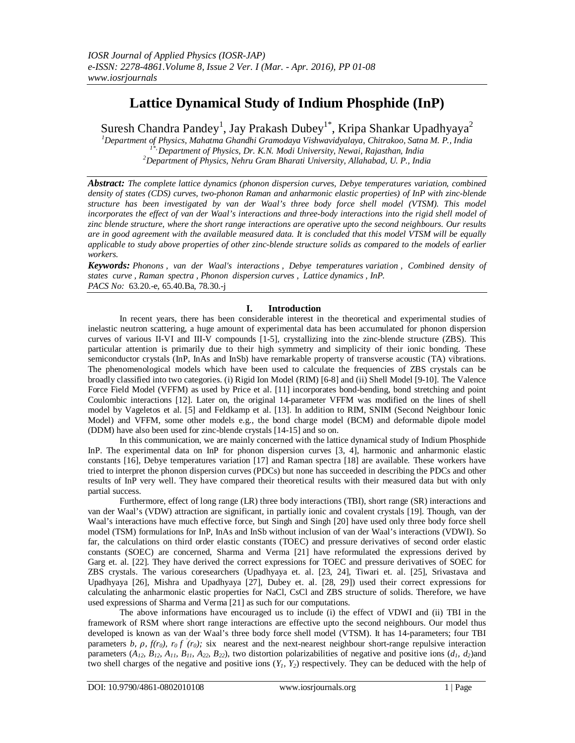# **Lattice Dynamical Study of Indium Phosphide (InP)**

Suresh Chandra Pandey<sup>1</sup>, Jay Prakash Dubey<sup>1\*</sup>, Kripa Shankar Upadhyaya<sup>2</sup>

*<sup>1</sup>Department of Physics, Mahatma Ghandhi Gramodaya Vishwavidyalaya, Chitrakoo, Satna M. P., India 1\*, Department of Physics, Dr. K.N. Modi University, Newai, Rajasthan, India <sup>2</sup>Department of Physics, Nehru Gram Bharati University, Allahabad, U. P., India*

*Abstract: The complete lattice dynamics (phonon dispersion curves, Debye temperatures variation, combined density of states (CDS) curves, two-phonon Raman and anharmonic elastic properties) of InP with zinc-blende structure has been investigated by van der Waal's three body force shell model (VTSM). This model*  incorporates the effect of van der Waal's interactions and three-body interactions into the rigid shell model of *zinc blende structure, where the short range interactions are operative upto the second neighbours. Our results are in good agreement with the available measured data. It is concluded that this model VTSM will be equally applicable to study above properties of other zinc-blende structure solids as compared to the models of earlier workers.*

*Keywords: Phonons , van der Waal's interactions , Debye temperatures variation , Combined density of states curve , Raman spectra , Phonon dispersion curves , Lattice dynamics , InP. PACS No:* 63.20.-e, 65.40.Ba, 78.30.-j

# **I. Introduction**

In recent years, there has been considerable interest in the theoretical and experimental studies of inelastic neutron scattering, a huge amount of experimental data has been accumulated for phonon dispersion curves of various II-VI and III-V compounds [1-5], crystallizing into the zinc-blende structure (ZBS). This particular attention is primarily due to their high symmetry and simplicity of their ionic bonding. These semiconductor crystals (InP, InAs and InSb) have remarkable property of transverse acoustic (TA) vibrations. The phenomenological models which have been used to calculate the frequencies of ZBS crystals can be broadly classified into two categories. (i) Rigid Ion Model (RIM) [6-8] and (ii) Shell Model [9-10]. The Valence Force Field Model (VFFM) as used by Price et al. [11] incorporates bond-bending, bond stretching and point Coulombic interactions [12]. Later on, the original 14-parameter VFFM was modified on the lines of shell model by Vageletos et al. [5] and Feldkamp et al. [13]. In addition to RIM, SNIM (Second Neighbour Ionic Model) and VFFM, some other models e.g., the bond charge model (BCM) and deformable dipole model (DDM) have also been used for zinc-blende crystals [14-15] and so on.

In this communication, we are mainly concerned with the lattice dynamical study of Indium Phosphide InP. The experimental data on InP for phonon dispersion curves [3, 4], harmonic and anharmonic elastic constants [16], Debye temperatures variation [17] and Raman spectra [18] are available. These workers have tried to interpret the phonon dispersion curves (PDCs) but none has succeeded in describing the PDCs and other results of InP very well. They have compared their theoretical results with their measured data but with only partial success.

Furthermore, effect of long range (LR) three body interactions (TBI), short range (SR) interactions and van der Waal's (VDW) attraction are significant, in partially ionic and covalent crystals [19]. Though, van der Waal's interactions have much effective force, but Singh and Singh [20] have used only three body force shell model (TSM) formulations for InP, InAs and InSb without inclusion of van der Waal's interactions (VDWI). So far, the calculations on third order elastic constants (TOEC) and pressure derivatives of second order elastic constants (SOEC) are concerned, Sharma and Verma [21] have reformulated the expressions derived by Garg et. al. [22]. They have derived the correct expressions for TOEC and pressure derivatives of SOEC for ZBS crystals. The various coresearchers (Upadhyaya et. al. [23, 24], Tiwari et. al. [25], Srivastava and Upadhyaya [26], Mishra and Upadhyaya [27], Dubey et. al. [28, 29]) used their correct expressions for calculating the anharmonic elastic properties for NaCl, CsCl and ZBS structure of solids. Therefore, we have used expressions of Sharma and Verma [21] as such for our computations.

The above informations have encouraged us to include (i) the effect of VDWI and (ii) TBI in the framework of RSM where short range interactions are effective upto the second neighbours. Our model thus developed is known as van der Waal's three body force shell model (VTSM). It has 14-parameters; four TBI parameters  $b$ ,  $\rho$ ,  $f(r_0)$ ,  $r_0 f (r_0)$ ; six nearest and the next-nearest neighbour short-range repulsive interaction parameters ( $A_{12}$ ,  $B_{12}$ ,  $A_{11}$ ,  $B_{11}$ ,  $A_{22}$ ,  $B_{22}$ ), two distortion polarizabilities of negative and positive ions ( $d_1$ ,  $d_2$ ) and two shell charges of the negative and positive ions (*Y1, Y2*) respectively. They can be deduced with the help of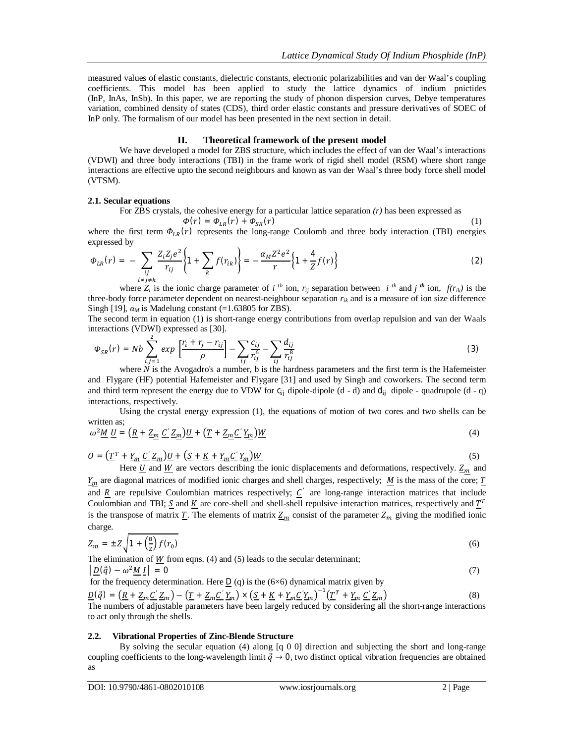measured values of elastic constants, dielectric constants, electronic polarizabilities and van der Waal's coupling coefficients. This model has been applied to study the lattice dynamics of indium pnictides (InP, InAs, InSb). In this paper, we are reporting the study of phonon dispersion curves, Debye temperatures variation, combined density of states (CDS), third order elastic constants and pressure derivatives of SOEC of InP only. The formalism of our model has been presented in the next section in detail.

## **II. Theoretical framework of the present model**

We have developed a model for ZBS structure, which includes the effect of van der Waal's interactions (VDWI) and three body interactions (TBI) in the frame work of rigid shell model (RSM) where short range interactions are effective upto the second neighbours and known as van der Waal's three body force shell model (VTSM).

## **2.1. Secular equations**

For ZBS crystals, the cohesive energy for a particular lattice separation *(r)* has been expressed as

$$
\Phi(r) = \Phi_{LR}(r) + \Phi_{SR}(r) \tag{1}
$$

where the first term  $\Phi_{LR}(r)$  represents the long-range Coulomb and three body interaction (TBI) energies expressed by

$$
\Phi_{LR}(r) = -\sum_{\substack{ij \ i \neq j \neq k}} \frac{Z_i Z_j e^2}{r_{ij}} \left\{ 1 + \sum_k f(r_{ik}) \right\} = -\frac{\alpha_M Z^2 e^2}{r} \left\{ 1 + \frac{4}{Z} f(r) \right\} \tag{2}
$$

where  $Z_i$  is the ionic charge parameter of *i*<sup>th</sup> ion,  $r_{ij}$  separation between *i*<sup>th</sup> and *j*<sup>th</sup> ion,  $f(r_{ik})$  is the three-body force parameter dependent on nearest-neighbour separation *rik* and is a measure of ion size difference Singh [19],  $\alpha_M$  is Madelung constant (=1.63805 for ZBS).

The second term in equation (1) is short-range energy contributions from overlap repulsion and van der Waals interactions (VDWI) expressed as [30].

$$
\Phi_{SR}(r) = Nb \sum_{i,j=1}^{2} exp\left[\frac{r_i + r_j - r_{ij}}{\rho}\right] - \sum_{ij} \frac{c_{ij}}{r_{ij}^6} - \sum_{ij} \frac{d_{ij}}{r_{ij}^8}
$$
\n(3)

where  $N$  is the Avogadro's a number, b is the hardness parameters and the first term is the Hafemeister and Flygare (HF) potential Hafemeister and Flygare [31] and used by Singh and coworkers. The second term and third term represent the energy due to VDW for  $c_{i}$  dipole-dipole (d - d) and  $d_{i}$  dipole - quadrupole (d - q) interactions, respectively.

Using the crystal energy expression (1), the equations of motion of two cores and two shells can be written as;

$$
\omega^2 \underline{M} \underline{U} = \left( \underline{R} + \underline{Z_m} \underline{C}' \underline{Z_m} \right) \underline{U} + \left( \underline{T} + \underline{Z_m} \underline{C}' \underline{Y_m} \right) \underline{W}
$$
\n(4)

 $Q = \left(\underline{T}^T + \underline{Y}_m \underline{C}' \underline{Z}_m\right) \underline{U} + \left(\underline{S} + \underline{K} + \underline{Y}_m \underline{C}' \underline{Y}_m\right) \underline{W}$  (5)

Here  $\underline{U}$  and  $\underline{W}$  are vectors describing the ionic displacements and deformations, respectively.  $\underline{Z}_m$  and  $Y_m$  are diagonal matrices of modified ionic charges and shell charges, respectively;  $M$  is the mass of the core;  $T$ and  $\underline{R}$  are repulsive Coulombian matrices respectively;  $\underline{C}$  are long-range interaction matrices that include Coulombian and TBI;  $S$  and  $K$  are core-shell and shell-shell repulsive interaction matrices, respectively and  $T<sup>T</sup>$ is the transpose of matrix  $\underline{T}$ . The elements of matrix  $\underline{Z_m}$  consist of the parameter  $Z_m$  giving the modified ionic charge.

$$
Z_m = \pm Z \sqrt{1 + \left(\frac{8}{z}\right) f(r_0)}\tag{6}
$$

The elimination of W from eqns.  $(4)$  and  $(5)$  leads to the secular determinant;  $\left[10(\vec{a}) - \omega^2 M I\right] = 0$  (7)

for the frequency determination. Here 
$$
\underline{D}
$$
 (q) is the (6×6) dynamical matrix given by

 $\underline{D}(\vec{q}) = \left(\underline{R} + \underline{Z}_m \underline{C}' \underline{Z}_m\right) - \left(\underline{T} + \underline{Z}_m \underline{C}' \underline{Y}_m\right) \times \left(\underline{S} + \underline{K} + \underline{Y}_m \underline{C}' \underline{Y}_m\right)^{-1} \left(\underline{T}^T + \underline{Y}_m \underline{C}' \underline{Z}_m\right)$  (8)

The numbers of adjustable parameters have been largely reduced by considering all the short-range interactions to act only through the shells.

#### **2.2. Vibrational Properties of Zinc-Blende Structure**

By solving the secular equation (4) along [q 0 0] direction and subjecting the short and long-range coupling coefficients to the long-wavelength limit  $\vec{q} \to 0$ , two distinct optical vibration frequencies are obtained as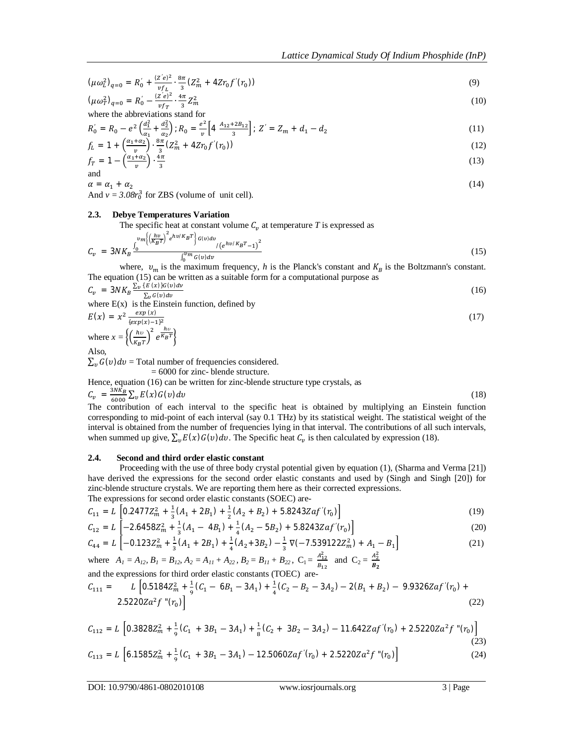$$
(\mu \omega_L^2)_{q=0} = R_0' + \frac{(z'e)^2}{v f_L} \cdot \frac{8\pi}{3} (Z_m^2 + 4Zr_0 f'(r_0))
$$
  
\n
$$
(\mu \omega_T^2)_{q=0} = R_0' - \frac{(z'e)^2}{v f_m} \cdot \frac{4\pi}{3} Z_m^2
$$
\n(10)

 $\frac{Z'e)^2}{v f_T} \cdot \frac{4\pi}{3}$  $\frac{\pi}{3}Z_m^2$ where the abbreviations stand for

$$
R'_0 = R_0 - e^2 \left(\frac{d_1^2}{a_1} + \frac{d_2^2}{a_2}\right); R_0 = \frac{e^2}{v} \left[4 \frac{A_{12} + 2B_{12}}{3}\right]; Z' = Z_m + d_1 - d_2
$$
\n(11)

$$
f_L = 1 + \left(\frac{\alpha_1 + \alpha_2}{\nu}\right) \cdot \frac{8\pi}{3} \left(Z_m^2 + 4Zr_0 f'(r_0)\right) \tag{12}
$$

$$
f_T = 1 - \left(\frac{\alpha_1 + \alpha_2}{v}\right) \cdot \frac{4\pi}{3} \tag{13}
$$

 $\alpha = \alpha_1 + \alpha_2$  (14) And  $v = 3.08r_0^3$  for ZBS (volume of unit cell).

## **2.3. Debye Temperatures Variation**

The specific heat at constant volume  $C_v$  at temperature  $T$  is expressed as

$$
C_v = 3NK_B \frac{v_m \left( \left( \frac{hv}{K_B T} \right)^2 e^{hv/K_B T} \right) G(v) dv}{\int_0^{v_m} G(v) dv} / (e^{hv/K_B T} - 1)^2}
$$
(15)

where,  $v_m$  is the maximum frequency, *h* is the Planck's constant and  $K_B$  is the Boltzmann's constant. The equation (15) can be written as a suitable form for a computational purpose as

$$
C_v = 3NK_B \frac{\sum_{v} \left(\frac{F(x)}{2}\right)G(v)dv}{\sum_{v} G(v)dv}
$$
\nwhere E(x) is the Einstein function, defined by

\n
$$
F(x) = x^2 \frac{exp(x)}{2}
$$
\n(17)

$$
E(x) = x^2 \frac{exp(x)}{(exp(x)-1)^2}
$$
  
where  $x = \left\{ \left(\frac{hv}{\kappa_B T}\right)^2 e^{\frac{hv}{\kappa_B T}} \right\}$   
Also,

Also,

 $\sum_{v} G(v) dv =$  Total number of frequencies considered.

= 6000 for zinc- blende structure.

Hence, equation (16) can be written for zinc-blende structure type crystals, as

 $C_v = \frac{3NK_B}{6000}$  $\frac{SNKB}{6000} \sum_{v} E(x) G(v) dv$  (18)

The contribution of each interval to the specific heat is obtained by multiplying an Einstein function corresponding to mid-point of each interval (say 0.1 THz) by its statistical weight. The statistical weight of the interval is obtained from the number of frequencies lying in that interval. The contributions of all such intervals, when summed up give,  $\sum_{v} E(x) G(v) dv$ . The Specific heat  $C_v$  is then calculated by expression (18).

#### **2.4. Second and third order elastic constant**

Proceeding with the use of three body crystal potential given by equation (1), (Sharma and Verma [21]) have derived the expressions for the second order elastic constants and used by (Singh and Singh [20]) for zinc-blende structure crystals. We are reporting them here as their corrected expressions. The expressions for second order elastic constants (SOEC) are-

$$
C_{11} = L \left[ 0.2477 Z_m^2 + \frac{1}{3} (A_1 + 2B_1) + \frac{1}{2} (A_2 + B_2) + 5.8243 Zaf'(r_0) \right]
$$
\n(19)

$$
C_{12} = L \left[ -2.6458Z_m^2 + \frac{1}{3}(A_1 - 4B_1) + \frac{1}{4}(A_2 - 5B_2) + 5.8243Zaf'(r_0) \right]
$$
(20)

$$
C_{44} = L \left[ -0.123Z_m^2 + \frac{1}{3}(A_1 + 2B_1) + \frac{1}{4}(A_2 + 3B_2) - \frac{1}{3}\nabla(-7.539122Z_m^2) + A_1 - B_1 \right]
$$
\nwhere  $A_1 = A_{12}, B_1 = B_{12}, A_2 = A_{11} + A_{22}, B_2 = B_{11} + B_{22}, C_1 = \frac{A_{12}^2}{B_{12}}$  and  $C_2 = \frac{A_2^2}{B_2}$  (21)

and the expressions for third order elastic constants (TOEC) are-

$$
C_{111} = L \left[ 0.5184 Z_m^2 + \frac{1}{9} (C_1 - 6B_1 - 3A_1) + \frac{1}{4} (C_2 - B_2 - 3A_2) - 2(B_1 + B_2) - 9.9326 Z a f'(r_0) + 2.5220 Z a^2 f''(r_0) \right]
$$
(22)

$$
C_{112} = L \left[ 0.3828Z_m^2 + \frac{1}{9}(C_1 + 3B_1 - 3A_1) + \frac{1}{8}(C_2 + 3B_2 - 3A_2) - 11.642Zaf'(r_0) + 2.5220Za^2f''(r_0) \right]
$$
\n(23)  
\n
$$
C_{113} = L \left[ 6.1585Z_m^2 + \frac{1}{9}(C_1 + 3B_1 - 3A_1) - 12.5060Zaf'(r_0) + 2.5220Za^2f''(r_0) \right]
$$
\n(24)

 $B<sub>2</sub>$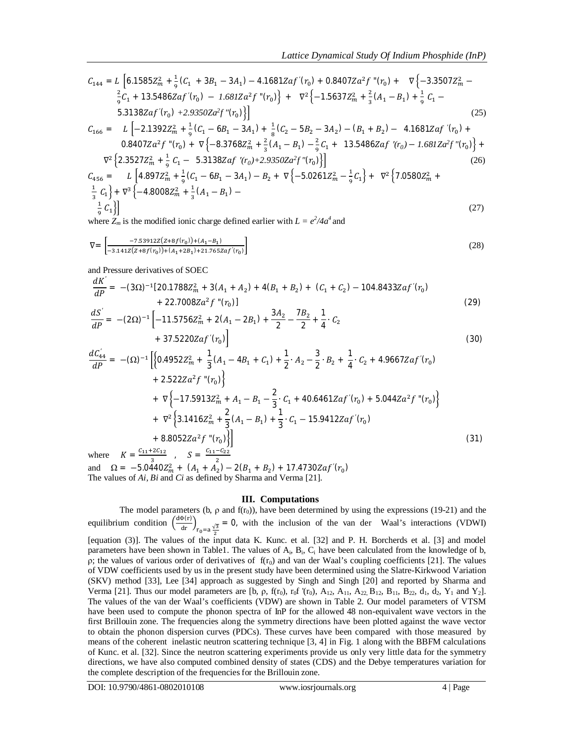$$
C_{144} = L \left[ 6.1585Z_m^2 + \frac{1}{9}(C_1 + 3B_1 - 3A_1) - 4.1681Zaf'(r_0) + 0.8407Za^2f''(r_0) + \nabla \left\{-3.3507Z_m^2 - \frac{2}{9}C_1 + 13.5486Zaf'(r_0) - 1.681Za^2f''(r_0) \right\} + \nabla^2 \left\{-1.5637Z_m^2 + \frac{2}{3}(A_1 - B_1) + \frac{1}{9}C_1 - \frac{5.3138Zaf'(r_0) + 2.9350Za^2f''(r_0)}{5.3138Zaf'(r_0) + 2.9350Za^2f''(r_0)} \right\}
$$
\n
$$
C_{166} = L \left[ -2.1392Z_m^2 + \frac{1}{9}(C_1 - 6B_1 - 3A_1) + \frac{1}{8}(C_2 - 5B_2 - 3A_2) - (B_1 + B_2) - 4.1681Zaf'(r_0) + \frac{0.8407Za^2f''(r_0)}{5.3138Zaf''(r_0) + \nabla \left\{-8.3768Z_m^2 + \frac{2}{3}(A_1 - B_1) - \frac{2}{9}C_1 + 13.5486Zaf'(r_0) - 1.681Za^2f''(r_0) \right\} + \nabla^2 \left\{ 2.3527Z_m^2 + \frac{1}{9}C_1 - 5.3138Zaf'(r_0) + 2.9350Za^2f''(r_0) \right\}
$$
\n
$$
C_{456} = L \left[ 4.897Z_m^2 + \frac{1}{9}(C_1 - 6B_1 - 3A_1) - B_2 + \nabla \left\{-5.0261Z_m^2 - \frac{1}{9}C_1\right\} + \nabla^2 \left\{7.0580Z_m^2 + \frac{1}{3}C_1\right\} + \nabla^3 \left\{-4.8008Z_m^2 + \frac{1}{3}(A_1 - B_1) - \frac{1}{9}C_1\right\}
$$
\n
$$
(27)
$$

where  $Z_m$  is the modified ionic charge defined earlier with  $L = e^2/4a^4$  and

$$
\nabla = \begin{bmatrix} -7.53912Z(Z+8f(r_0)) + (A_1 - B_1) \\ -3.141Z(Z+8f(r_0)) + (A_1 + 2B_1) + 21.765Zaf'(r_0) \end{bmatrix}
$$
(28)

and Pressure derivatives of SOEC

$$
\frac{dK'}{dP} = -(3\Omega)^{-1}[20.1788Z_m^2 + 3(A_1 + A_2) + 4(B_1 + B_2) + (C_1 + C_2) - 104.8433Zaf'(r_0) + 22.7008Za^2f''(r_0)]
$$
\n(29)

$$
\frac{dS'}{dP} = -(2\Omega)^{-1} \left[ -11.5756Z_m^2 + 2(A_1 - 2B_1) + \frac{3A_2}{2} - \frac{7B_2}{2} + \frac{1}{4} \cdot C_2 + 37.5220Zaf'(r_0) \right]
$$
\n(30)

$$
\frac{dC_{44}'}{dP} = -(\Omega)^{-1} \Big[ \Big\{ 0.4952Z_m^2 + \frac{1}{3}(A_1 - 4B_1 + C_1) + \frac{1}{2} \cdot A_2 - \frac{3}{2} \cdot B_2 + \frac{1}{4} \cdot C_2 + 4.9667Zaf'(r_0) + 2.522Za^2f''(r_0) \Big\} + \nabla \Big\{ -17.5913Z_m^2 + A_1 - B_1 - \frac{2}{3} \cdot C_1 + 40.6461Zaf'(r_0) + 5.044Za^2f''(r_0) \Big\} + \nabla^2 \Big\{ 3.1416Z_m^2 + \frac{2}{3}(A_1 - B_1) + \frac{1}{3} \cdot C_1 - 15.9412Zaf'(r_0) + 8.8052Za^2f''(r_0) \Big\} \Big] + 8.8052Za^2f''(r_0) \Big\} \Big]
$$
\nwhere  $K = \frac{c_{11} + 2c_{12}}{3}$ ,  $S = \frac{c_{11} - c_{22}}{2}$  (31)

and  $\Omega = -5.0440Z_m^2 + (A_1 + A_2) - 2(B_1 + B_2) + 17.4730Zaf'(r_0)$ The values of *Ai, Bi* and *Ci* as defined by Sharma and Verma [21].

#### **III. Computations**

The model parameters (b,  $\rho$  and f(r<sub>0</sub>)), have been determined by using the expressions (19-21) and the equilibrium condition  $\left(\frac{d\Phi(r)}{dr}\right)_{r_0=a\frac{\sqrt{3}}{2}}$ = 0, with the inclusion of the van der Waal's interactions (VDWI) [equation (3)]. The values of the input data K. Kunc. et al. [32] and P. H. Borcherds et al. [3] and model parameters have been shown in Table1. The values of  $A_i$ ,  $B_i$ ,  $C_i$  have been calculated from the knowledge of b, ρ; the values of various order of derivatives of  $f(r_0)$  and van der Waal's coupling coefficients [21]. The values of VDW coefficients used by us in the present study have been determined using the Slatre-Kirkwood Variation (SKV) method [33], Lee [34] approach as suggested by Singh and Singh [20] and reported by Sharma and Verma [21]. Thus our model parameters are [b, ρ, f(r<sub>0</sub>), r<sub>0</sub>f '(r<sub>0</sub>), A<sub>12</sub>, A<sub>11</sub>, A<sub>22</sub>, B<sub>12</sub>, B<sub>11</sub>, B<sub>22</sub>, d<sub>1</sub>, d<sub>2</sub>, Y<sub>1</sub> and Y<sub>2</sub>]. The values of the van der Waal's coefficients (VDW) are shown in Table 2. Our model parameters of VTSM have been used to compute the phonon spectra of InP for the allowed 48 non-equivalent wave vectors in the first Brillouin zone. The frequencies along the symmetry directions have been plotted against the wave vector to obtain the phonon dispersion curves (PDCs). These curves have been compared with those measured by means of the coherent inelastic neutron scattering technique [3, 4] in Fig. 1 along with the BBFM calculations of Kunc. et al. [32]. Since the neutron scattering experiments provide us only very little data for the symmetry directions, we have also computed combined density of states (CDS) and the Debye temperatures variation for the complete description of the frequencies for the Brillouin zone.

DOI: 10.9790/4861-0802010108 www.iosrjournals.org 4 | Page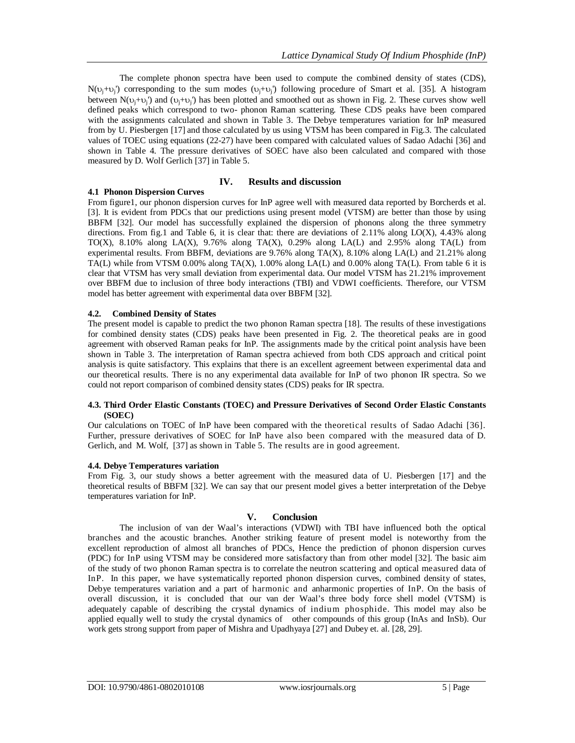The complete phonon spectra have been used to compute the combined density of states (CDS),  $N(\nu_j + \nu_j)$  corresponding to the sum modes  $(\nu_j + \nu_j)$  following procedure of Smart et al. [35]. A histogram between  $N(\nu_j + \nu_j)$  and  $(\nu_j + \nu_j)$  has been plotted and smoothed out as shown in Fig. 2. These curves show well defined peaks which correspond to two- phonon Raman scattering. These CDS peaks have been compared with the assignments calculated and shown in Table 3. The Debye temperatures variation for InP measured from by U. Piesbergen [17] and those calculated by us using VTSM has been compared in Fig.3. The calculated values of TOEC using equations (22-27) have been compared with calculated values of Sadao Adachi [36] and shown in Table 4. The pressure derivatives of SOEC have also been calculated and compared with those measured by D. Wolf Gerlich [37] in Table 5.

# **IV. Results and discussion**

# **4.1 Phonon Dispersion Curves**

From figure1, our phonon dispersion curves for InP agree well with measured data reported by Borcherds et al. [3]. It is evident from PDCs that our predictions using present model (VTSM) are better than those by using BBFM [32]. Our model has successfully explained the dispersion of phonons along the three symmetry directions. From fig.1 and Table 6, it is clear that: there are deviations of 2.11% along LO(X), 4.43% along TO(X), 8.10% along LA(X), 9.76% along TA(X), 0.29% along LA(L) and 2.95% along TA(L) from experimental results. From BBFM, deviations are 9.76% along TA(X), 8.10% along LA(L) and 21.21% along TA(L) while from VTSM 0.00% along TA(X), 1.00% along LA(L) and 0.00% along TA(L). From table 6 it is clear that VTSM has very small deviation from experimental data. Our model VTSM has 21.21% improvement over BBFM due to inclusion of three body interactions (TBI) and VDWI coefficients. Therefore, our VTSM model has better agreement with experimental data over BBFM [32].

# **4.2. Combined Density of States**

The present model is capable to predict the two phonon Raman spectra [18]. The results of these investigations for combined density states (CDS) peaks have been presented in Fig. 2. The theoretical peaks are in good agreement with observed Raman peaks for InP. The assignments made by the critical point analysis have been shown in Table 3. The interpretation of Raman spectra achieved from both CDS approach and critical point analysis is quite satisfactory. This explains that there is an excellent agreement between experimental data and our theoretical results. There is no any experimental data available for InP of two phonon IR spectra. So we could not report comparison of combined density states (CDS) peaks for IR spectra.

# **4.3. Third Order Elastic Constants (TOEC) and Pressure Derivatives of Second Order Elastic Constants (SOEC)**

Our calculations on TOEC of InP have been compared with the theoretical results of Sadao Adachi [36]. Further, pressure derivatives of SOEC for InP have also been compared with the measured data of D. Gerlich, and M. Wolf, [37] as shown in Table 5. The results are in good agreement.

# **4.4. Debye Temperatures variation**

From Fig. 3, our study shows a better agreement with the measured data of U. Piesbergen [17] and the theoretical results of BBFM [32]. We can say that our present model gives a better interpretation of the Debye temperatures variation for InP.

# **V. Conclusion**

The inclusion of van der Waal's interactions (VDWI) with TBI have influenced both the optical branches and the acoustic branches. Another striking feature of present model is noteworthy from the excellent reproduction of almost all branches of PDCs, Hence the prediction of phonon dispersion curves (PDC) for InP using VTSM may be considered more satisfactory than from other model [32]. The basic aim of the study of two phonon Raman spectra is to correlate the neutron scattering and optical measured data of InP. In this paper, we have systematically reported phonon dispersion curves, combined density of states, Debye temperatures variation and a part of harmonic and anharmonic properties of InP. On the basis of overall discussion, it is concluded that our van der Waal's three body force shell model (VTSM) is adequately capable of describing the crystal dynamics of indium phosphide. This model may also be applied equally well to study the crystal dynamics of other compounds of this group (InAs and InSb). Our work gets strong support from paper of Mishra and Upadhyaya [27] and Dubey et. al. [28, 29].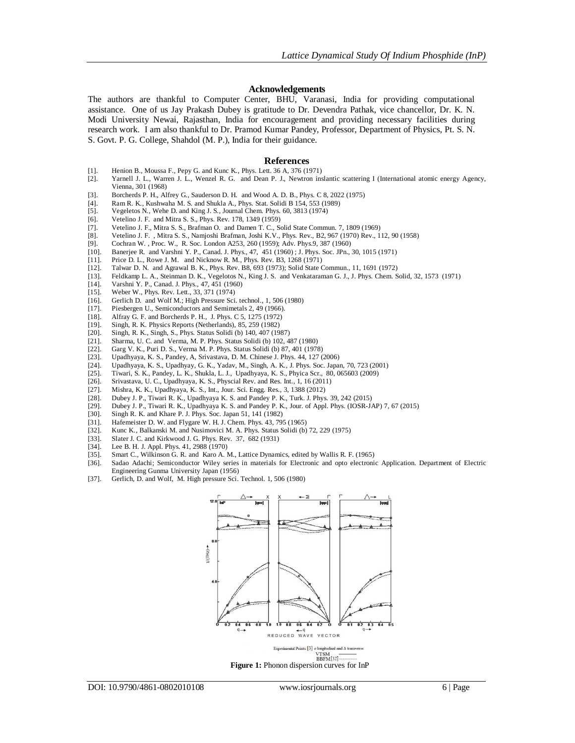#### **Acknowledgements**

The authors are thankful to Computer Center, BHU, Varanasi, India for providing computational assistance. One of us Jay Prakash Dubey is gratitude to Dr. Devendra Pathak, vice chancellor, Dr. K. N. Modi University Newai, Rajasthan, India for encouragement and providing necessary facilities during research work. I am also thankful to Dr. Pramod Kumar Pandey, Professor, Department of Physics, Pt. S. N. S. Govt. P. G. College, Shahdol (M. P.), India for their guidance.

#### **References**

- [1]. Henion B., Moussa F., Pepy G. and Kunc K., Phys. Lett. 36 A, 376 (1971)
- [2]. Yarnell J. L., Warren J. L., Wenzel R. G. and Dean P. J., Newtron inslantic scattering I (International atomic energy Agency, Vienna, 301 (1968)
- [3]. Borcherds P. H., Alfrey G., Sauderson D. H. and Wood A. D. B., Phys. C 8, 2022 (1975)
- [4]. Ram R. K., Kushwaha M. S. and Shukla A., Phys. Stat. Solidi B 154, 553 (1989) [5]. Vegeletos N., Wehe D. and King J. S., Journal Chem. Phys. 60, 3813 (1974)
- Vegeletos N., Wehe D. and King J. S., Journal Chem. Phys. 60, 3813 (1974)
- [6]. Vetelino J. F. and Mitra S. S., Phys. Rev. 178, 1349 (1959)
- [7]. Vetelino J. F., Mitra S. S., Brafman O. and Damen T. C., Solid State Commun. 7, 1809 (1969)<br>[8]. Vetelino J. F., Mitra S. S., Namjoshi Brafman, Joshi K.V., Phys. Rev., B2, 967 (1970) Rev., 1
- [8]. Vetelino J. F. , Mitra S. S., Namjoshi Brafman, Joshi K.V., Phys. Rev., B2, 967 (1970) Rev., 112, 90 (1958)
- [9]. Cochran W., Proc. W., R. Soc. London A253, 260 (1959); Adv. Phys.9, 387 (1960)<br>[10]. Baneriee R. and Varshni Y. P., Canad. J. Phys., 47, 451 (1960): J. Phys. Soc. JPn.,
- Banerjee R. and Varshni Y. P., Canad. J. Phys., 47, 451 (1960) ; J. Phys. Soc. JPn., 30, 1015 (1971)
- [11]. Price D. L., Rowe J. M. and Nicknow R. M., Phys. Rev. B3, 1268 (1971) [12]. Talwar D. N. and Agrawal B. K., Phys. Rev. B8, 693 (1973): Solid State C
- [12]. Talwar D. N. and Agrawal B. K., Phys. Rev. B8, 693 (1973); Solid State Commun., 11, 1691 (1972)
- [13]. Feldkamp L. A., Steinman D. K., Vegelotos N., King J. S. and Venkataraman G. J., J. Phys. Chem. Solid, 32, 1573 (1971) [14]. Varshni Y. P., Canad. J. Phys., 47, 451 (1960)
- [14]. Varshni Y. P., Canad. J. Phys., 47, 451 (1960)<br>[15]. Weber W., Phys. Rev. Lett., 33, 371 (1974)
- [15]. Weber W., Phys. Rev. Lett., 33, 371 (1974)<br>[16]. Gerlich D. and Wolf M.: High Pressure Sci
- [16]. Gerlich D. and Wolf M.; High Pressure Sci. technol., 1, 506 (1980)
- [17]. Piesbergen U., Semiconductors and Semimetals 2, 49 (1966).
- [18]. Alfray G. F. and Borcherds P. H., J. Phys. C 5, 1275 (1972) [19]. Singh, R. K. Physics Reports (Netherlands), 85, 259 (1982)
- [19]. Singh, R. K. Physics Reports (Netherlands), 85, 259 (1982)
- Singh, R. K., Singh, S., Phys. Status Solidi (b) 140, 407 (1987)
- [21]. Sharma, U. C. and Verma, M. P. Phys. Status Solidi (b) 102, 487 (1980) [22]. Garg V. K., Puri D. S., Verma M. P. Phys. Status Solidi (b) 87, 401 (1978)
- 
- [22]. Garg V. K., Puri D. S., Verma M. P. Phys. Status Solidi (b) 87, 401 (1978) Upadhyaya, K. S., Pandey, A, Srivastava, D. M. Chinese J. Phys. 44, 127 (2006)
- [24]. Upadhyaya, K. S., Upadhyay, G. K., Yadav, M., Singh, A. K., J. Phys. Soc. Japan, 70, 723 (2001)<br>[25]. Tiwari, S. K., Pandey, L. K., Shukla, L. J., Upadhyaya, K. S., Phyica Scr., 80, 065603 (2009)
- [25]. Tiwari, S. K., Pandey, L. K., Shukla, L. J., Upadhyaya, K. S., Phyica Scr., 80, 065603 (2009) [26]. Srivastava, U. C., Upadhyaya, K. S., Physcial Rev. and Res. Int., 1, 16 (2011)
- [26]. Srivastava, U. C., Upadhyaya, K. S., Physcial Rev. and Res. Int., 1, 16 (2011)
- [27]. Mishra, K. K., Upadhyaya, K. S., Int., Jour. Sci. Engg. Res., 3, 1388 (2012)
- 
- [28]. Dubey J. P., Tiwari R. K., Upadhyaya K. S. and Pandey P. K., Turk. J. Phys. 39, 242 (2015) [29]. Dubey J. P., Tiwari R. K., Upadhyaya K. S. and Pandey P. K., Jour. of Appl. Phys. (IOSR-JAP) 7, 67 (2015)
- Singh R. K. and Khare P. J. Phys. Soc. Japan 51, 141 (1982)
- [31]. Hafemeister D. W. and Flygare W. H. J. Chem. Phys. 43, 795 (1965)
- [32]. Kunc K., Balkanski M. and Nusimovici M. A. Phys. Status Solidi (b)  $72$ ,  $229$  (1975) [33]. Slater J. C. and Kirkwood J. G. Phys. Rev.  $37$ ,  $682$  (1931)
- [33]. Slater J. C. and Kirkwood J. G. Phys. Rev. 37, 682 (1931) [34]. Lee B. H. J. Appl. Phys. 41, 2988 (1970)
- [34]. Lee B. H. J. Appl. Phys. 41, 2988 (1970)<br>[35]. Smart C., Wilkinson G. R. and Karo A. N.
- 
- [35]. Smart C., Wilkinson G. R. and Karo A. M., Lattice Dynamics, edited by Wallis R. F. (1965) [36]. Sadao Adachi; Semiconductor Wiley series in materials for Electronic and opto electroni Sadao Adachi; Semiconductor Wiley series in materials for Electronic and opto electronic Application. Department of Electric Engineering Gunma University Japan (1956)
- [37]. Gerlich, D. and Wolf, M. High pressure Sci. Technol. 1, 506 (1980)

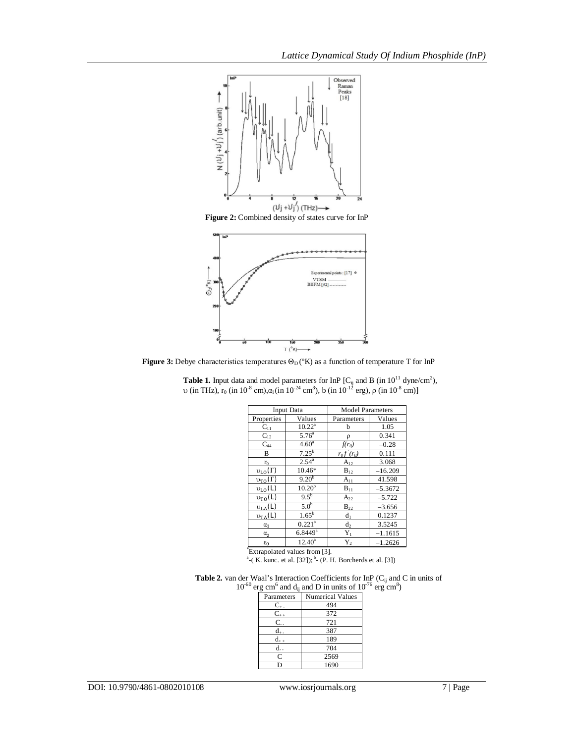

**Figure 3:** Debye characteristics temperatures  $\Theta_D$  (°K) as a function of temperature T for InP

|                         | Input Data            | <b>Model Parameters</b> |           |  |  |
|-------------------------|-----------------------|-------------------------|-----------|--|--|
| Properties              | Values                |                         | Values    |  |  |
| $C_{11}$                | $10.22^a$             | h                       | 1.05      |  |  |
| $C_{12}$                | $5.76^{\circ}$        | ρ                       | 0.341     |  |  |
| $C_{44}$                | 4.60 <sup>a</sup>     |                         | $-0.28$   |  |  |
| B                       | $7.25^{b}$            | $r_0 f(r_0)$            | 0.111     |  |  |
| $r_0$                   | $2.54^{a}$            | $A_{12}$                | 3.068     |  |  |
| $v_{L0}(\Gamma)$        | 10.46*                | $B_{12}$                | $-16.209$ |  |  |
| $v_{\text{TO}}(\Gamma)$ | $9.20^{b}$            | $A_{11}$                | 41.598    |  |  |
| $v_{L0}$ (L)            | 10.20 <sup>b</sup>    | $B_{11}$                | $-5.3672$ |  |  |
| $v_{T0}(L)$             | $9.5^{b}$             | $A_{22}$                | $-5.722$  |  |  |
| $v_{LA}(L)$             | 5.0 <sup>b</sup>      | $B_{22}$                | $-3.656$  |  |  |
| $v_{TA}(L)$             | $1.65^{\rm b}$        | d <sub>1</sub>          | 0.1237    |  |  |
| $\alpha_1$              | $0.221^a$             | $d_2$                   | 3.5245    |  |  |
| $\alpha_2$              | $6.8449$ <sup>a</sup> | $Y_1$                   | $-1.1615$ |  |  |
| $\varepsilon_0$         | $12.40^a$             | $Y_2$                   | $-1.2626$ |  |  |

**Table 1.** Input data and model parameters for InP  $[C_{ij}]$  and B (in  $10^{11}$  dyne/cm<sup>2</sup>), υ (in THz), r<sub>0</sub> (in 10<sup>-8</sup> cm),α<sub>i</sub> (in 10<sup>-24</sup> cm<sup>3</sup>), b (in 10<sup>-12</sup> erg), ρ (in 10<sup>-8</sup> cm)]

 $E$ \*Extrapolated values from [3].<br><sup>a</sup>-( K. kunc. et al. [32]); <sup>b</sup>- (P. H. Borcherds et al. [3])

|  |  |  | <b>Table 2.</b> van der Waal's Interaction Coefficients for InP ( $C_{ii}$ and C in units of          |  |
|--|--|--|-------------------------------------------------------------------------------------------------------|--|
|  |  |  | $10^{-60}$ erg cm <sup>6</sup> and d <sub>ii</sub> and D in units of $10^{-76}$ erg cm <sup>8</sup> ) |  |

| Parameters | <b>Numerical Values</b> |  |  |  |  |
|------------|-------------------------|--|--|--|--|
| $C_{+}$ .  | 494                     |  |  |  |  |
| $C_{+}$    | 372                     |  |  |  |  |
| C          | 721                     |  |  |  |  |
| d          | 387                     |  |  |  |  |
| d.         | 189                     |  |  |  |  |
| d.         | 704                     |  |  |  |  |
| C          | 2569                    |  |  |  |  |
| D          | 1690                    |  |  |  |  |